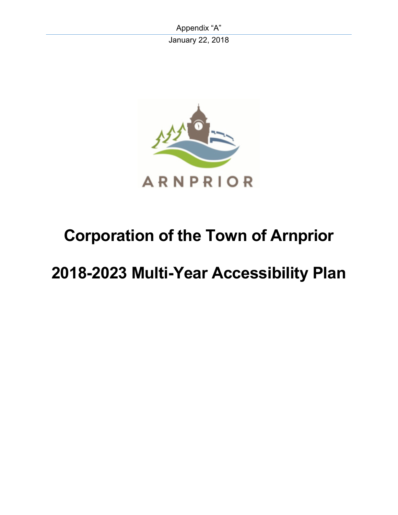Appendix "A" January 22, 2018



# **Corporation of the Town of Arnprior**

# **2018-2023 Multi-Year Accessibility Plan**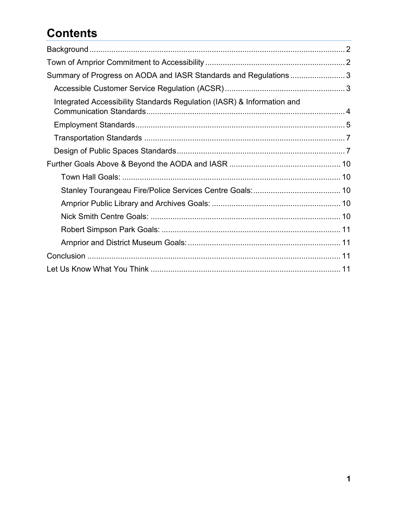## **Contents**

| Summary of Progress on AODA and IASR Standards and Regulations  3      |  |
|------------------------------------------------------------------------|--|
|                                                                        |  |
| Integrated Accessibility Standards Regulation (IASR) & Information and |  |
|                                                                        |  |
|                                                                        |  |
|                                                                        |  |
|                                                                        |  |
|                                                                        |  |
|                                                                        |  |
|                                                                        |  |
|                                                                        |  |
|                                                                        |  |
|                                                                        |  |
|                                                                        |  |
|                                                                        |  |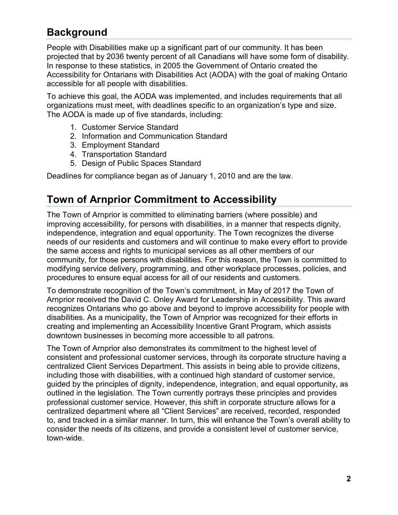### <span id="page-2-0"></span>**Background**

People with Disabilities make up a significant part of our community. It has been projected that by 2036 twenty percent of all Canadians will have some form of disability. In response to these statistics, in 2005 the Government of Ontario created the Accessibility for Ontarians with Disabilities Act (AODA) with the goal of making Ontario accessible for all people with disabilities.

To achieve this goal, the AODA was implemented, and includes requirements that all organizations must meet, with deadlines specific to an organization's type and size. The AODA is made up of five standards, including:

- 1. Customer Service Standard
- 2. Information and Communication Standard
- 3. Employment Standard
- 4. Transportation Standard
- 5. Design of Public Spaces Standard

Deadlines for compliance began as of January 1, 2010 and are the law.

### <span id="page-2-1"></span>**Town of Arnprior Commitment to Accessibility**

The Town of Arnprior is committed to eliminating barriers (where possible) and improving accessibility, for persons with disabilities, in a manner that respects dignity, independence, integration and equal opportunity. The Town recognizes the diverse needs of our residents and customers and will continue to make every effort to provide the same access and rights to municipal services as all other members of our community, for those persons with disabilities. For this reason, the Town is committed to modifying service delivery, programming, and other workplace processes, policies, and procedures to ensure equal access for all of our residents and customers.

To demonstrate recognition of the Town's commitment, in May of 2017 the Town of Arnprior received the David C. Onley Award for Leadership in Accessibility. This award recognizes Ontarians who go above and beyond to improve accessibility for people with disabilities. As a municipality, the Town of Arnprior was recognized for their efforts in creating and implementing an Accessibility Incentive Grant Program, which assists downtown businesses in becoming more accessible to all patrons.

The Town of Arnprior also demonstrates its commitment to the highest level of consistent and professional customer services, through its corporate structure having a centralized Client Services Department. This assists in being able to provide citizens, including those with disabilities, with a continued high standard of customer service, guided by the principles of dignity, independence, integration, and equal opportunity, as outlined in the legislation. The Town currently portrays these principles and provides professional customer service. However, this shift in corporate structure allows for a centralized department where all "Client Services" are received, recorded, responded to, and tracked in a similar manner. In turn, this will enhance the Town's overall ability to consider the needs of its citizens, and provide a consistent level of customer service, town-wide.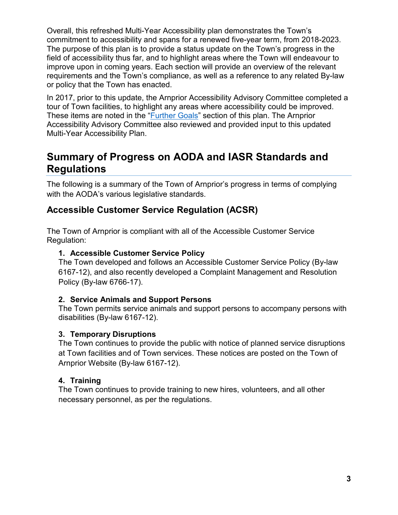Overall, this refreshed Multi-Year Accessibility plan demonstrates the Town's commitment to accessibility and spans for a renewed five-year term, from 2018-2023. The purpose of this plan is to provide a status update on the Town's progress in the field of accessibility thus far, and to highlight areas where the Town will endeavour to improve upon in coming years. Each section will provide an overview of the relevant requirements and the Town's compliance, as well as a reference to any related By-law or policy that the Town has enacted.

In 2017, prior to this update, the Arnprior Accessibility Advisory Committee completed a tour of Town facilities, to highlight any areas where accessibility could be improved. These items are noted in the ["Further Goals"](#page-9-0) section of this plan. The Arnprior Accessibility Advisory Committee also reviewed and provided input to this updated Multi-Year Accessibility Plan.

### <span id="page-3-0"></span>**Summary of Progress on AODA and IASR Standards and Regulations**

The following is a summary of the Town of Arnprior's progress in terms of complying with the AODA's various legislative standards.

### <span id="page-3-1"></span>**Accessible Customer Service Regulation (ACSR)**

The Town of Arnprior is compliant with all of the Accessible Customer Service Regulation:

#### **1. Accessible Customer Service Policy**

The Town developed and follows an Accessible Customer Service Policy (By-law 6167-12), and also recently developed a Complaint Management and Resolution Policy (By-law 6766-17).

#### **2. Service Animals and Support Persons**

The Town permits service animals and support persons to accompany persons with disabilities (By-law 6167-12).

#### **3. Temporary Disruptions**

The Town continues to provide the public with notice of planned service disruptions at Town facilities and of Town services. These notices are posted on the Town of Arnprior Website (By-law 6167-12).

#### **4. Training**

The Town continues to provide training to new hires, volunteers, and all other necessary personnel, as per the regulations.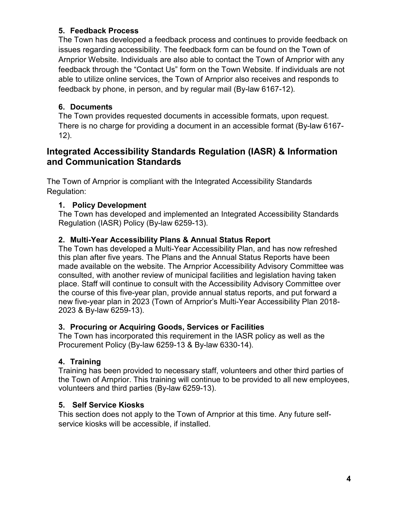#### **5. Feedback Process**

The Town has developed a feedback process and continues to provide feedback on issues regarding accessibility. The feedback form can be found on the Town of Arnprior Website. Individuals are also able to contact the Town of Arnprior with any feedback through the "Contact Us" form on the Town Website. If individuals are not able to utilize online services, the Town of Arnprior also receives and responds to feedback by phone, in person, and by regular mail (By-law 6167-12).

#### **6. Documents**

The Town provides requested documents in accessible formats, upon request. There is no charge for providing a document in an accessible format (By-law 6167- 12).

#### <span id="page-4-0"></span>**Integrated Accessibility Standards Regulation (IASR) & Information and Communication Standards**

The Town of Arnprior is compliant with the Integrated Accessibility Standards Regulation:

#### **1. Policy Development**

The Town has developed and implemented an Integrated Accessibility Standards Regulation (IASR) Policy (By-law 6259-13).

#### **2. Multi-Year Accessibility Plans & Annual Status Report**

The Town has developed a Multi-Year Accessibility Plan, and has now refreshed this plan after five years. The Plans and the Annual Status Reports have been made available on the website. The Arnprior Accessibility Advisory Committee was consulted, with another review of municipal facilities and legislation having taken place. Staff will continue to consult with the Accessibility Advisory Committee over the course of this five-year plan, provide annual status reports, and put forward a new five-year plan in 2023 (Town of Arnprior's Multi-Year Accessibility Plan 2018- 2023 & By-law 6259-13).

#### **3. Procuring or Acquiring Goods, Services or Facilities**

The Town has incorporated this requirement in the IASR policy as well as the Procurement Policy (By-law 6259-13 & By-law 6330-14).

#### **4. Training**

Training has been provided to necessary staff, volunteers and other third parties of the Town of Arnprior. This training will continue to be provided to all new employees, volunteers and third parties (By-law 6259-13).

#### **5. Self Service Kiosks**

This section does not apply to the Town of Arnprior at this time. Any future selfservice kiosks will be accessible, if installed.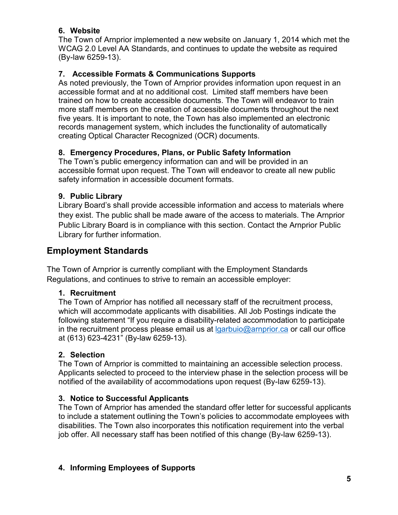#### **6. Website**

The Town of Arnprior implemented a new website on January 1, 2014 which met the WCAG 2.0 Level AA Standards, and continues to update the website as required (By-law 6259-13).

#### **7. Accessible Formats & Communications Supports**

As noted previously, the Town of Arnprior provides information upon request in an accessible format and at no additional cost. Limited staff members have been trained on how to create accessible documents. The Town will endeavor to train more staff members on the creation of accessible documents throughout the next five years. It is important to note, the Town has also implemented an electronic records management system, which includes the functionality of automatically creating Optical Character Recognized (OCR) documents.

#### **8. Emergency Procedures, Plans, or Public Safety Information**

The Town's public emergency information can and will be provided in an accessible format upon request. The Town will endeavor to create all new public safety information in accessible document formats.

#### **9. Public Library**

Library Board's shall provide accessible information and access to materials where they exist. The public shall be made aware of the access to materials. The Arnprior Public Library Board is in compliance with this section. Contact the Arnprior Public Library for further information.

#### <span id="page-5-0"></span>**Employment Standards**

The Town of Arnprior is currently compliant with the Employment Standards Regulations, and continues to strive to remain an accessible employer:

#### **1. Recruitment**

The Town of Arnprior has notified all necessary staff of the recruitment process, which will accommodate applicants with disabilities. All Job Postings indicate the following statement "If you require a disability-related accommodation to participate in the recruitment process please email us at  $Iq$ arbuio@arnprior.ca or call our office at (613) 623-4231" (By-law 6259-13).

#### **2. Selection**

The Town of Arnprior is committed to maintaining an accessible selection process. Applicants selected to proceed to the interview phase in the selection process will be notified of the availability of accommodations upon request (By-law 6259-13).

#### **3. Notice to Successful Applicants**

The Town of Arnprior has amended the standard offer letter for successful applicants to include a statement outlining the Town's policies to accommodate employees with disabilities. The Town also incorporates this notification requirement into the verbal job offer. All necessary staff has been notified of this change (By-law 6259-13).

#### **4. Informing Employees of Supports**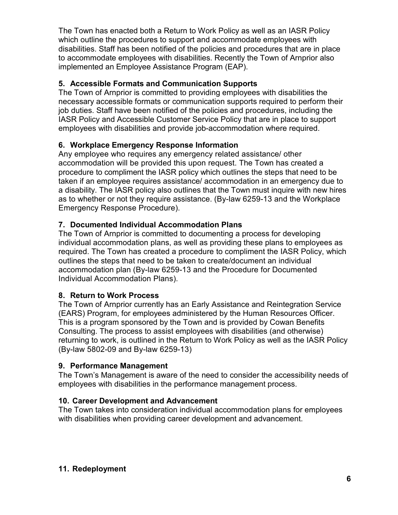The Town has enacted both a Return to Work Policy as well as an IASR Policy which outline the procedures to support and accommodate employees with disabilities. Staff has been notified of the policies and procedures that are in place to accommodate employees with disabilities. Recently the Town of Arnprior also implemented an Employee Assistance Program (EAP).

#### **5. Accessible Formats and Communication Supports**

The Town of Arnprior is committed to providing employees with disabilities the necessary accessible formats or communication supports required to perform their job duties. Staff have been notified of the policies and procedures, including the IASR Policy and Accessible Customer Service Policy that are in place to support employees with disabilities and provide job-accommodation where required.

#### **6. Workplace Emergency Response Information**

Any employee who requires any emergency related assistance/ other accommodation will be provided this upon request. The Town has created a procedure to compliment the IASR policy which outlines the steps that need to be taken if an employee requires assistance/ accommodation in an emergency due to a disability. The IASR policy also outlines that the Town must inquire with new hires as to whether or not they require assistance. (By-law 6259-13 and the Workplace Emergency Response Procedure).

#### **7. Documented Individual Accommodation Plans**

The Town of Arnprior is committed to documenting a process for developing individual accommodation plans, as well as providing these plans to employees as required. The Town has created a procedure to compliment the IASR Policy, which outlines the steps that need to be taken to create/document an individual accommodation plan (By-law 6259-13 and the Procedure for Documented Individual Accommodation Plans).

#### **8. Return to Work Process**

The Town of Arnprior currently has an Early Assistance and Reintegration Service (EARS) Program, for employees administered by the Human Resources Officer. This is a program sponsored by the Town and is provided by Cowan Benefits Consulting. The process to assist employees with disabilities (and otherwise) returning to work, is outlined in the Return to Work Policy as well as the IASR Policy (By-law 5802-09 and By-law 6259-13)

#### **9. Performance Management**

The Town's Management is aware of the need to consider the accessibility needs of employees with disabilities in the performance management process.

#### **10. Career Development and Advancement**

The Town takes into consideration individual accommodation plans for employees with disabilities when providing career development and advancement.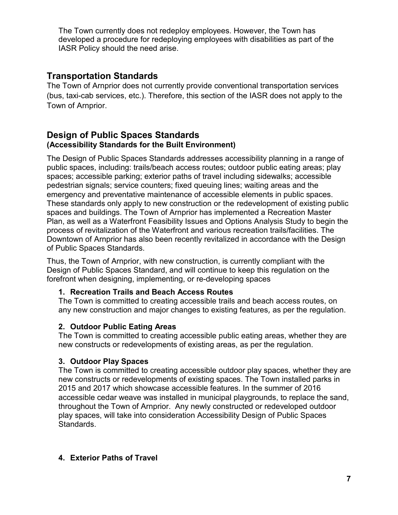The Town currently does not redeploy employees. However, the Town has developed a procedure for redeploying employees with disabilities as part of the IASR Policy should the need arise.

#### <span id="page-7-0"></span>**Transportation Standards**

The Town of Arnprior does not currently provide conventional transportation services (bus, taxi-cab services, etc.). Therefore, this section of the IASR does not apply to the Town of Arnprior.

#### <span id="page-7-1"></span>**Design of Public Spaces Standards (Accessibility Standards for the Built Environment)**

The Design of Public Spaces Standards addresses accessibility planning in a range of public spaces, including: trails/beach access routes; outdoor public eating areas; play spaces; accessible parking; exterior paths of travel including sidewalks; accessible pedestrian signals; service counters; fixed queuing lines; waiting areas and the emergency and preventative maintenance of accessible elements in public spaces. These standards only apply to new construction or the redevelopment of existing public spaces and buildings. The Town of Arnprior has implemented a Recreation Master Plan, as well as a Waterfront Feasibility Issues and Options Analysis Study to begin the process of revitalization of the Waterfront and various recreation trails/facilities. The Downtown of Arnprior has also been recently revitalized in accordance with the Design of Public Spaces Standards.

Thus, the Town of Arnprior, with new construction, is currently compliant with the Design of Public Spaces Standard, and will continue to keep this regulation on the forefront when designing, implementing, or re-developing spaces

#### **1. Recreation Trails and Beach Access Routes**

The Town is committed to creating accessible trails and beach access routes, on any new construction and major changes to existing features, as per the regulation.

#### **2. Outdoor Public Eating Areas**

The Town is committed to creating accessible public eating areas, whether they are new constructs or redevelopments of existing areas, as per the regulation.

#### **3. Outdoor Play Spaces**

The Town is committed to creating accessible outdoor play spaces, whether they are new constructs or redevelopments of existing spaces. The Town installed parks in 2015 and 2017 which showcase accessible features. In the summer of 2016 accessible cedar weave was installed in municipal playgrounds, to replace the sand, throughout the Town of Arnprior. Any newly constructed or redeveloped outdoor play spaces, will take into consideration Accessibility Design of Public Spaces Standards.

#### **4. Exterior Paths of Travel**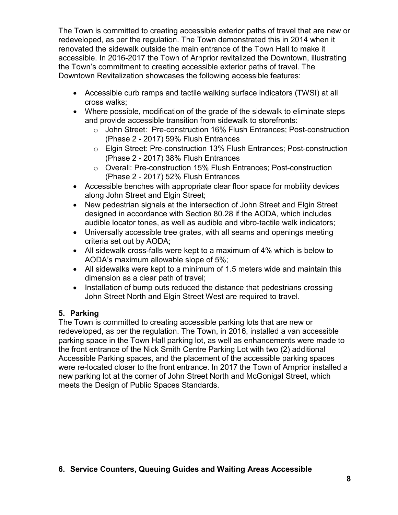The Town is committed to creating accessible exterior paths of travel that are new or redeveloped, as per the regulation. The Town demonstrated this in 2014 when it renovated the sidewalk outside the main entrance of the Town Hall to make it accessible. In 2016-2017 the Town of Arnprior revitalized the Downtown, illustrating the Town's commitment to creating accessible exterior paths of travel. The Downtown Revitalization showcases the following accessible features:

- Accessible curb ramps and tactile walking surface indicators (TWSI) at all cross walks;
- Where possible, modification of the grade of the sidewalk to eliminate steps and provide accessible transition from sidewalk to storefronts:
	- o John Street: Pre-construction 16% Flush Entrances; Post-construction (Phase 2 - 2017) 59% Flush Entrances
	- o Elgin Street: Pre-construction 13% Flush Entrances; Post-construction (Phase 2 - 2017) 38% Flush Entrances
	- o Overall: Pre-construction 15% Flush Entrances; Post-construction (Phase 2 - 2017) 52% Flush Entrances
- Accessible benches with appropriate clear floor space for mobility devices along John Street and Elgin Street;
- New pedestrian signals at the intersection of John Street and Elgin Street designed in accordance with Section 80.28 if the AODA, which includes audible locator tones, as well as audible and vibro-tactile walk indicators;
- Universally accessible tree grates, with all seams and openings meeting criteria set out by AODA;
- All sidewalk cross-falls were kept to a maximum of 4% which is below to AODA's maximum allowable slope of 5%;
- All sidewalks were kept to a minimum of 1.5 meters wide and maintain this dimension as a clear path of travel;
- Installation of bump outs reduced the distance that pedestrians crossing John Street North and Elgin Street West are required to travel.

#### **5. Parking**

The Town is committed to creating accessible parking lots that are new or redeveloped, as per the regulation. The Town, in 2016, installed a van accessible parking space in the Town Hall parking lot, as well as enhancements were made to the front entrance of the Nick Smith Centre Parking Lot with two (2) additional Accessible Parking spaces, and the placement of the accessible parking spaces were re-located closer to the front entrance. In 2017 the Town of Arnprior installed a new parking lot at the corner of John Street North and McGonigal Street, which meets the Design of Public Spaces Standards.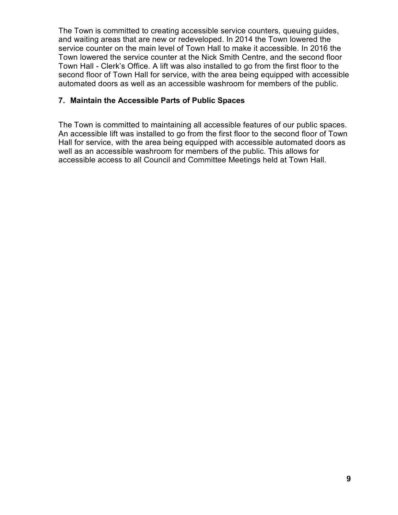The Town is committed to creating accessible service counters, queuing guides, and waiting areas that are new or redeveloped. In 2014 the Town lowered the service counter on the main level of Town Hall to make it accessible. In 2016 the Town lowered the service counter at the Nick Smith Centre, and the second floor Town Hall - Clerk's Office. A lift was also installed to go from the first floor to the second floor of Town Hall for service, with the area being equipped with accessible automated doors as well as an accessible washroom for members of the public.

#### **7. Maintain the Accessible Parts of Public Spaces**

<span id="page-9-0"></span>The Town is committed to maintaining all accessible features of our public spaces. An accessible lift was installed to go from the first floor to the second floor of Town Hall for service, with the area being equipped with accessible automated doors as well as an accessible washroom for members of the public. This allows for accessible access to all Council and Committee Meetings held at Town Hall.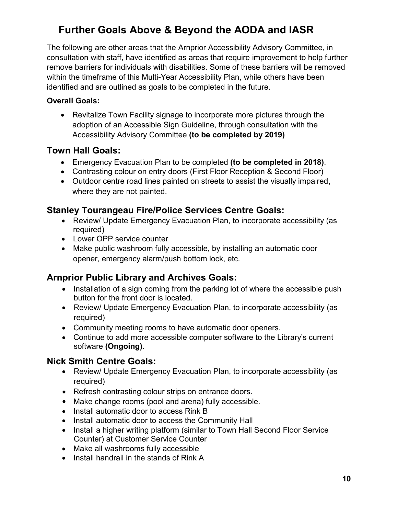### <span id="page-10-0"></span>**Further Goals Above & Beyond the AODA and IASR**

The following are other areas that the Arnprior Accessibility Advisory Committee, in consultation with staff, have identified as areas that require improvement to help further remove barriers for individuals with disabilities. Some of these barriers will be removed within the timeframe of this Multi-Year Accessibility Plan, while others have been identified and are outlined as goals to be completed in the future.

#### **Overall Goals:**

• Revitalize Town Facility signage to incorporate more pictures through the adoption of an Accessible Sign Guideline, through consultation with the Accessibility Advisory Committee **(to be completed by 2019)**

#### <span id="page-10-1"></span>**Town Hall Goals:**

- Emergency Evacuation Plan to be completed **(to be completed in 2018)**.
- Contrasting colour on entry doors (First Floor Reception & Second Floor)
- Outdoor centre road lines painted on streets to assist the visually impaired, where they are not painted.

#### <span id="page-10-2"></span>**Stanley Tourangeau Fire/Police Services Centre Goals:**

- Review/ Update Emergency Evacuation Plan, to incorporate accessibility (as required)
- Lower OPP service counter
- Make public washroom fully accessible, by installing an automatic door opener, emergency alarm/push bottom lock, etc.

#### <span id="page-10-3"></span>**Arnprior Public Library and Archives Goals:**

- Installation of a sign coming from the parking lot of where the accessible push button for the front door is located.
- Review/ Update Emergency Evacuation Plan, to incorporate accessibility (as required)
- Community meeting rooms to have automatic door openers.
- Continue to add more accessible computer software to the Library's current software **(Ongoing)**.

#### <span id="page-10-4"></span>**Nick Smith Centre Goals:**

- Review/ Update Emergency Evacuation Plan, to incorporate accessibility (as required)
- Refresh contrasting colour strips on entrance doors.
- Make change rooms (pool and arena) fully accessible.
- Install automatic door to access Rink B
- Install automatic door to access the Community Hall
- Install a higher writing platform (similar to Town Hall Second Floor Service Counter) at Customer Service Counter
- Make all washrooms fully accessible
- Install handrail in the stands of Rink A